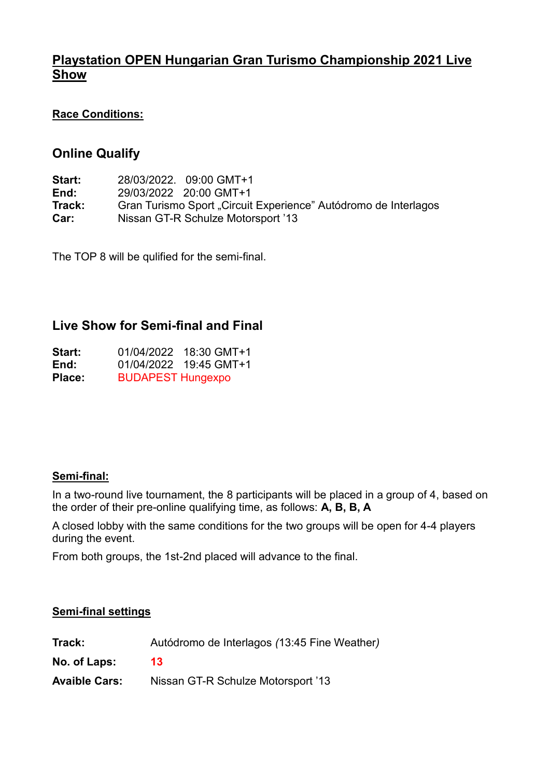# **Playstation OPEN Hungarian Gran Turismo Championship 2021 Live Show**

## **Race Conditions:**

## **Online Qualify**

**Start:** 28/03/2022. 09:00 GMT+1 **End:** 29/03/2022 20:00 GMT+1 **Track:** Gran Turismo Sport "Circuit Experience" Autódromo de Interlagos **Car:** Nissan GT-R Schulze Motorsport '13

The TOP 8 will be qulified for the semi-final.

## **Live Show for Semi-final and Final**

| Start: |                          | $01/04/2022$ 18:30 GMT+1 |
|--------|--------------------------|--------------------------|
| End:   |                          | 01/04/2022 19:45 GMT+1   |
| Place: | <b>BUDAPEST Hungexpo</b> |                          |

### **Semi-final:**

In a two-round live tournament, the 8 participants will be placed in a group of 4, based on the order of their pre-online qualifying time, as follows: **A, B, B, A**

A closed lobby with the same conditions for the two groups will be open for 4-4 players during the event.

From both groups, the 1st-2nd placed will advance to the final.

#### **Semi-final settings**

| Track:               | Autódromo de Interlagos (13:45 Fine Weather) |
|----------------------|----------------------------------------------|
| No. of Laps:         | 13                                           |
| <b>Avaible Cars:</b> | Nissan GT-R Schulze Motorsport '13           |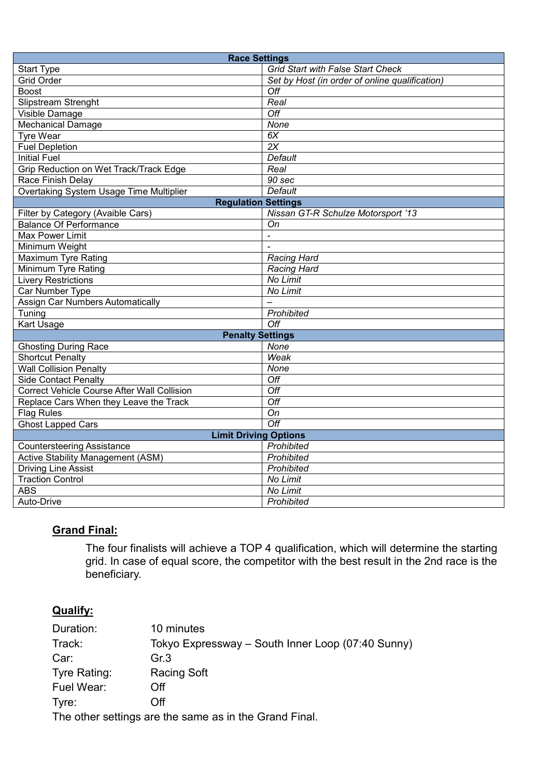| <b>Race Settings</b>                               |                                                |  |  |  |
|----------------------------------------------------|------------------------------------------------|--|--|--|
| <b>Start Type</b>                                  | <b>Grid Start with False Start Check</b>       |  |  |  |
| <b>Grid Order</b>                                  | Set by Host (in order of online qualification) |  |  |  |
| <b>Boost</b>                                       | Off                                            |  |  |  |
| Slipstream Strenght                                | Real                                           |  |  |  |
| Visible Damage                                     | $\overline{Off}$                               |  |  |  |
| <b>Mechanical Damage</b>                           | None                                           |  |  |  |
| <b>Tyre Wear</b>                                   | 6X                                             |  |  |  |
| <b>Fuel Depletion</b>                              | $\overline{2X}$                                |  |  |  |
| <b>Initial Fuel</b>                                | Default                                        |  |  |  |
| Grip Reduction on Wet Track/Track Edge             | Real                                           |  |  |  |
| Race Finish Delay                                  | 90 sec                                         |  |  |  |
| Overtaking System Usage Time Multiplier            | Default                                        |  |  |  |
| <b>Regulation Settings</b>                         |                                                |  |  |  |
| Filter by Category (Avaible Cars)                  | Nissan GT-R Schulze Motorsport '13             |  |  |  |
| <b>Balance Of Performance</b>                      | On                                             |  |  |  |
| <b>Max Power Limit</b>                             | $\overline{a}$                                 |  |  |  |
| Minimum Weight                                     | $\overline{a}$                                 |  |  |  |
| <b>Maximum Tyre Rating</b>                         | <b>Racing Hard</b>                             |  |  |  |
| Minimum Tyre Rating                                | <b>Racing Hard</b>                             |  |  |  |
| <b>Livery Restrictions</b>                         | No Limit                                       |  |  |  |
| Car Number Type                                    | No Limit                                       |  |  |  |
| <b>Assign Car Numbers Automatically</b>            |                                                |  |  |  |
| Tuning                                             | Prohibited                                     |  |  |  |
| <b>Kart Usage</b>                                  | $\overline{Off}$                               |  |  |  |
| <b>Penalty Settings</b>                            |                                                |  |  |  |
| <b>Ghosting During Race</b>                        | None                                           |  |  |  |
| <b>Shortcut Penalty</b>                            | Weak                                           |  |  |  |
| <b>Wall Collision Penalty</b>                      | None                                           |  |  |  |
| <b>Side Contact Penalty</b>                        | Off                                            |  |  |  |
| <b>Correct Vehicle Course After Wall Collision</b> | Off                                            |  |  |  |
| Replace Cars When they Leave the Track             | Off                                            |  |  |  |
| <b>Flag Rules</b>                                  | On                                             |  |  |  |
| <b>Ghost Lapped Cars</b>                           | $\overline{Off}$                               |  |  |  |
| <b>Limit Driving Options</b>                       |                                                |  |  |  |
| <b>Countersteering Assistance</b>                  | Prohibited                                     |  |  |  |
| Active Stability Management (ASM)                  | Prohibited                                     |  |  |  |
| <b>Driving Line Assist</b>                         | Prohibited                                     |  |  |  |
| <b>Traction Control</b>                            | No Limit                                       |  |  |  |
| <b>ABS</b>                                         | No Limit                                       |  |  |  |
| Auto-Drive                                         | Prohibited                                     |  |  |  |

#### **Grand Final:**

The four finalists will achieve a TOP 4 qualification, which will determine the starting grid. In case of equal score, the competitor with the best result in the 2nd race is the beneficiary.

### **Qualify:**

| Duration:    | 10 minutes                                             |
|--------------|--------------------------------------------------------|
| Track:       | Tokyo Expressway – South Inner Loop (07:40 Sunny)      |
| Car:         | Gr.3                                                   |
| Tyre Rating: | <b>Racing Soft</b>                                     |
| Fuel Wear:   | Off                                                    |
| Tyre:        | Off                                                    |
|              | The other settings are the same as in the Grand Final. |